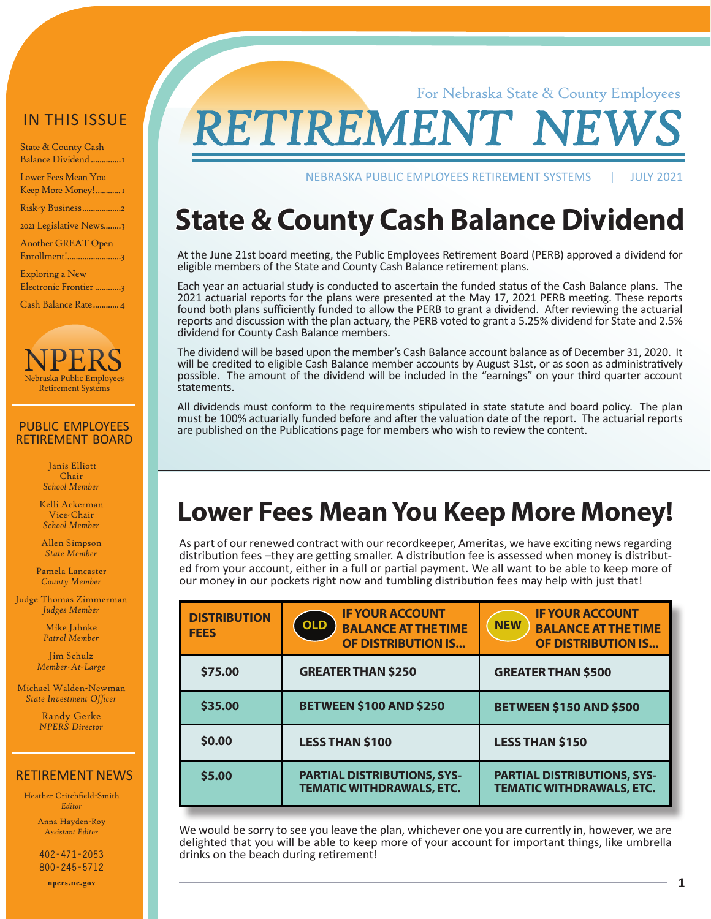#### IN THIS ISSUE

State & County Cash Balance Dividend ..............1

Lower Fees Mean You Keep More Money!............1

[Risk-y Business..................2](#page-1-0)

[2021 Legislative News........3](#page-2-0) [Another GREAT Open](#page-2-0) 

[Enrollment!.........................3](#page-2-0)

[Exploring a New](#page-3-0)  [Electronic Frontier](#page-3-0)............3

[Cash Balance Rate............4](#page-3-0)



#### PUBLIC EMPLOYEES RETIREMENT BOARD

 Janis Elliott Chair *School Member*

Kelli Ackerman Vice-Chair *School Member*

Allen Simpson *State Member*

Pamela Lancaster *County Member*

Judge Thomas Zimmerman *Judges Member*

> Mike Jahnke *Patrol Member*

Jim Schulz *Member-At-Large*

Michael Walden-Newman *State Investment Officer*

> Randy Gerke *NPERS Director*

#### RETIREMENT NEWS

Heather Critchfield-Smith *Editor*

> Anna Hayden-Roy *Assistant Editor*

**402-471-2053 800-245-5712 npers.ne.gov**

**RETIREMENT** 

NEBRASKA PUBLIC EMPLOYEES RETIREMENT SYSTEMS | JULY 2021

For Nebraska State & County Employees

## **State & County Cash Balance Dividend**

At the June 21st board meeting, the Public Employees Retirement Board (PERB) approved a dividend for eligible members of the State and County Cash Balance retirement plans.

Each year an actuarial study is conducted to ascertain the funded status of the Cash Balance plans. The 2021 actuarial reports for the plans were presented at the May 17, 2021 PERB meeting. These reports found both plans sufficiently funded to allow the PERB to grant a dividend. After reviewing the actuarial reports and discussion with the plan actuary, the PERB voted to grant a 5.25% dividend for State and 2.5% dividend for County Cash Balance members.

The dividend will be based upon the member's Cash Balance account balance as of December 31, 2020. It will be credited to eligible Cash Balance member accounts by August 31st, or as soon as administratively possible. The amount of the dividend will be included in the "earnings" on your third quarter account statements.

All dividends must conform to the requirements stipulated in state statute and board policy. The plan must be 100% actuarially funded before and after the valuation date of the report. The actuarial reports are published on the Publications page for members who wish to review the content.

### **Lower Fees Mean You Keep More Money!**

As part of our renewed contract with our recordkeeper, Ameritas, we have exciting news regarding<br>distribution fees -they are getting smaller. A distribution fee is assessed when money is distributed from your account, either in a full or partial payment. We all want to be able to keep more of our money in our pockets right now and tumbling distribution fees may help with just that!

| <b>DISTRIBUTION</b><br><b>FEES</b> | <b>IF YOUR ACCOUNT</b><br><b>OLD</b><br><b>BALANCE AT THE TIME</b><br><b>OF DISTRIBUTION IS</b> | <b>IF YOUR ACCOUNT</b><br><b>NEW</b><br><b>BALANCE AT THE TIME</b><br><b>OF DISTRIBUTION IS</b> |
|------------------------------------|-------------------------------------------------------------------------------------------------|-------------------------------------------------------------------------------------------------|
| \$75.00                            | <b>GREATER THAN \$250</b>                                                                       | <b>GREATER THAN \$500</b>                                                                       |
| \$35.00                            | <b>BETWEEN \$100 AND \$250</b>                                                                  | <b>BETWEEN \$150 AND \$500</b>                                                                  |
| \$0.00                             | <b>LESS THAN \$100</b>                                                                          | <b>LESS THAN \$150</b>                                                                          |
| \$5.00                             | <b>PARTIAL DISTRIBUTIONS, SYS-</b><br><b>TEMATIC WITHDRAWALS, ETC.</b>                          | <b>PARTIAL DISTRIBUTIONS, SYS-</b><br><b>TEMATIC WITHDRAWALS, ETC.</b>                          |

We would be sorry to see you leave the plan, whichever one you are currently in, however, we are delighted that you will be able to keep more of your account for important things, like umbrella drinks on the beach during retirement!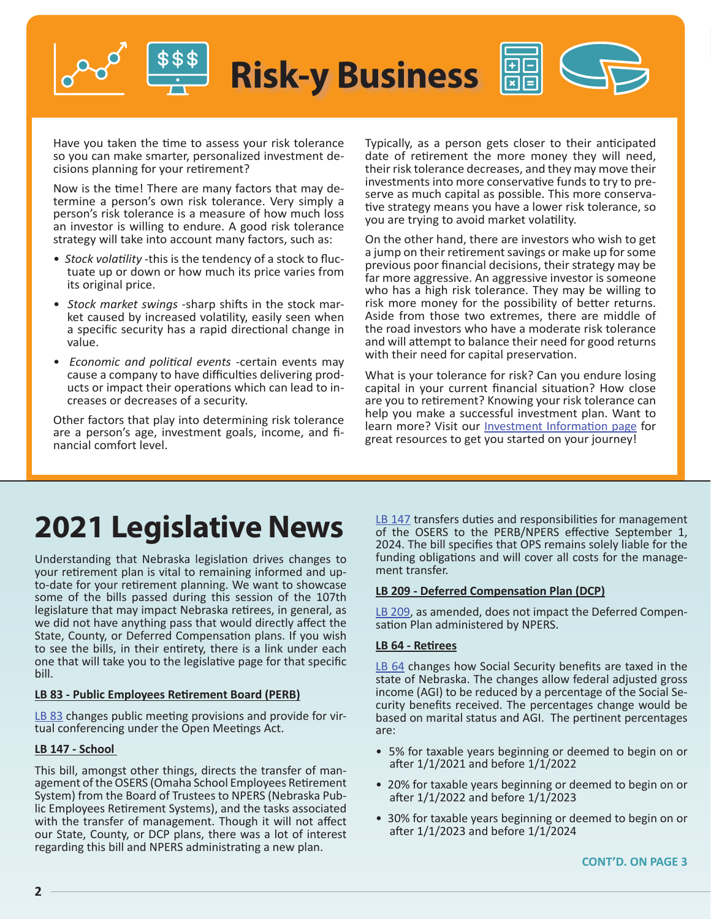<span id="page-1-0"></span>

Have you taken the time to assess your risk tolerance so you can make smarter, personalized investment decisions planning for your retirement?

Now is the time! There are many factors that may determine a person's own risk tolerance. Very simply a person's risk tolerance is a measure of how much loss an investor is willing to endure. A good risk tolerance strategy will take into account many factors, such as:

- *Stock volatility* -this is the tendency of a stock to fluctuate up or down or how much its price varies from its original price.
- *Stock market swings* -sharp shifts in the stock market caused by increased volatility, easily seen when a specific security has a rapid directional change in value.
- *Economic and political events* -certain events may cause a company to have difficulties delivering products or impact their operations which can lead to increases or decreases of a security.

Other factors that play into determining risk tolerance are a person's age, investment goals, income, and financial comfort level.

Typically, as a person gets closer to their anticipated date of retirement the more money they will need, their risk tolerance decreases, and they may move their investments into more conservative funds to try to preserve as much capital as possible. This more conservative strategy means you have a lower risk tolerance, so you are trying to avoid market volatility.

On the other hand, there are investors who wish to get a jump on their retirement savings or make up for some previous poor financial decisions, their strategy may be far more aggressive. An aggressive investor is someone who has a high risk tolerance. They may be willing to risk more money for the possibility of better returns. Aside from those two extremes, there are middle of the road investors who have a moderate risk tolerance and will attempt to balance their need for good returns with their need for capital preservation.

What is your tolerance for risk? Can you endure losing capital in your current financial situation? How close are you to retirement? Knowing your risk tolerance can help you make a successful investment plan. Want to learn more? Visit our **Investment Information page** for great resources to get you started on your journey!

## **2021 Legislative News**

Understanding that Nebraska legislation drives changes to your retirement plan is vital to remaining informed and upto-date for your retirement planning. We want to showcase some of the bills passed during this session of the 107th legislature that may impact Nebraska retirees, in general, as we did not have anything pass that would directly affect the State, County, or Deferred Compensation plans. If you wish to see the bills, in their entirety, there is a link under each one that will take you to the legislative page for that specific bill.

#### **LB 83 - Public Employees Retirement Board (PERB)**

[LB 83](https://nebraskalegislature.gov/bills/view_bill.php?DocumentID=44096) changes public meeting provisions and provide for vir-<br>tual conferencing under the Open Meetings Act.

#### **LB 147 - School**

This bill, amongst other things, directs the transfer of management of the OSERS (Omaha School Employees Retirement System) from the Board of Trustees to NPERS (Nebraska Public Employees Retirement Systems), and the tasks associated with the transfer of management. Though it will not affect our State, County, or DCP plans, there was a lot of interest regarding this bill and NPERS administrating a new plan.

[LB 147](https://nebraskalegislature.gov/bills/view_bill.php?DocumentID=43795) transfers duties and responsibilities for management of the OSERS to the PERB/NPERS effective September 1, 2024. The bill specifies that OPS remains solely liable for the funding obligations and will cover all costs for the manage- ment transfer.

#### **LB 209 - Deferred Compensation Plan (DCP)**

[LB 209](https://nebraskalegislature.gov/bills/view_bill.php?DocumentID=44017), as amended, does not impact the Deferred Compen-<br>sation Plan administered by NPERS.

#### **LB 64 - Retirees**

[LB 64](https://nebraskalegislature.gov/bills/view_bill.php?DocumentID=43651) changes how Social Security benefits are taxed in the state of Nebraska. The changes allow federal adjusted gross income (AGI) to be reduced by a percentage of the Social Security benefits received. The percentages change would be based on marital status and AGI. The pertinent percentages are:

- 5% for taxable years beginning or deemed to begin on or after 1/1/2021 and before 1/1/2022
- 20% for taxable years beginning or deemed to begin on or after 1/1/2022 and before 1/1/2023
- 30% for taxable years beginning or deemed to begin on or after 1/1/2023 and before 1/1/2024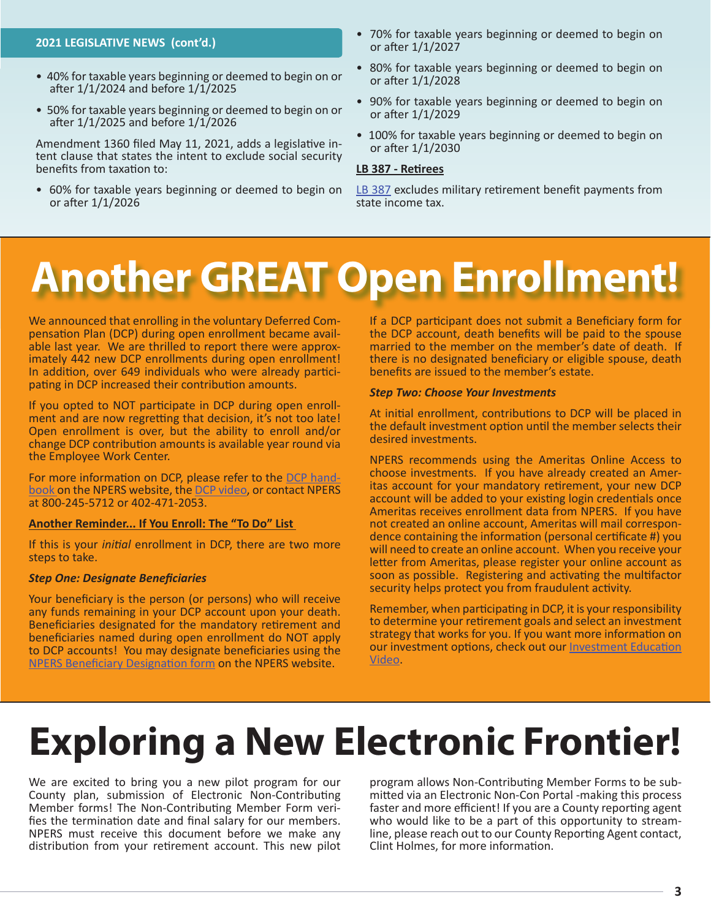#### <span id="page-2-0"></span>**2021 LEGISLATIVE NEWS (cont'd.)**

- 40% for taxable years beginning or deemed to begin on or after 1/1/2024 and before 1/1/2025
- 50% for taxable years beginning or deemed to begin on or after 1/1/2025 and before 1/1/2026

Amendment 1360 filed May 11, 2021, adds a legislative intent clause that states the intent to exclude social security benefits from taxation to:

• 60% for taxable years beginning or deemed to begin on or after 1/1/2026

- 70% for taxable years beginning or deemed to begin on or after 1/1/2027
- 80% for taxable years beginning or deemed to begin on or after 1/1/2028
- 90% for taxable years beginning or deemed to begin on or after 1/1/2029
- 100% for taxable years beginning or deemed to begin on or after 1/1/2030

#### **LB 387 - Retirees**

## **Another GREAT Open Enrollment!**

We announced that enrolling in the voluntary Deferred Compensation Plan (DCP) during open enrollment became available last year. We are thrilled to report there were approximately 442 new DCP enrollments during open enroll In addition, over 649 individuals who were already partici- pating in DCP increased their contribution amounts.

If you opted to NOT participate in DCP during open enrollment and are now regretting that decision, it's not too late! Open enrollment is over, but the ability to enroll and/or change DCP contribution amounts is available year round via the Employee Work Center.

For more information on DCP, please refer to the [DCP hand](https://npers.ne.gov/SelfService/public/howto/handbooks/handbookDCP.pdf)[book](https://npers.ne.gov/SelfService/public/howto/handbooks/handbookDCP.pdf) on the NPERS website, the [DCP video,](https://youtu.be/236s1SZc9vQ) or contact NPERS at 800-245-5712 or 402-471-2053.

#### **Another Reminder... If You Enroll: The "To Do" List**

If this is your *initial* enrollment in DCP, there are two more steps to take.

#### *Step One: Designate Beneficiaries*

Your beneficiary is the person (or persons) who will receive any funds remaining in your DCP account upon your death. Beneficiaries designated for the mandatory retirement and beneficiaries named during open enrollment do NOT apply to DCP accounts! You may designate beneficiaries using the [NPERS Beneficiary Designation form](https://npers.ne.gov/SelfService/public/forms/membershipForms/beneficiary.pdf) on the NPERS website.

If a DCP participant does not submit a Beneficiary form for the DCP account, death benefits will be paid to the spouse married to the member on the member's date of death. If there is no designated beneficiary or eligible spouse, death benefits are issued to the member's estate.

#### *Step Two: Choose Your Investments*

At initial enrollment, contributions to DCP will be placed in the default investment option until the member selects their desired investments.

NPERS recommends using the Ameritas Online Access to choose investments. If you have already created an Ameritas account for your mandatory retirement, your new DCP account will be added to your existing login credentials once Ameritas receives enrollment data from NPERS. If you have dence containing the information (personal certificate #) you will need to create an online account. When you receive your letter from Ameritas, please register your online account as soon as possible. Registering and activating the multifactor security helps protect you from fraudulent activity.

Remember, when participating in DCP, it is your responsibility to determine your retirement goals and select an investment strategy that works for you. If you want more information on our investment options, check out our [Investment Education](https://youtu.be/W1pvO1FQk24) [Video](https://youtu.be/W1pvO1FQk24).

# **Exploring a New Electronic Frontier!**

We are excited to bring you a new pilot program for our County plan, submission of Electronic Non-Contributing Member forms! The Non-Contributing Member Form veri- fies the termination date and final salary for our members. NPERS must receive this document before we make any distribution from your retirement account. This new pilot

program allows Non-Contributing Member Forms to be sub- mitted via an Electronic Non-Con Portal -making this process faster and more efficient! If you are a County reporting agent who would like to be a part of this opportunity to streamline, please reach out to our County Reporting Agent contact, Clint Holmes, for more information.

[LB 387](https://nebraskalegislature.gov/bills/view_bill.php?DocumentID=43739) excludes military retirement benefit payments from state income tax.